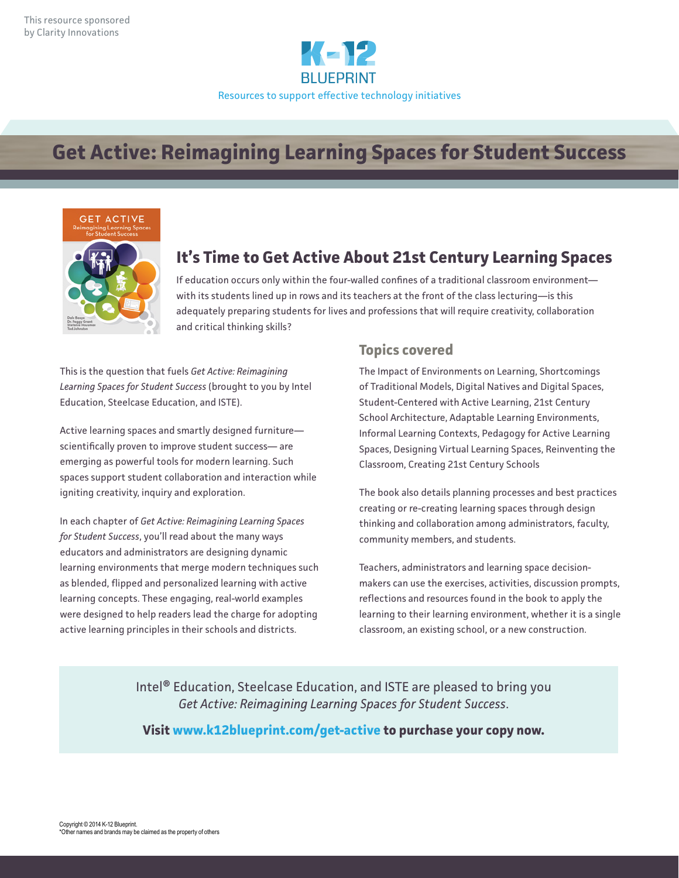

# **Get Active: Reimagining Learning Spaces for Student Success**



#### **It's Time to Get Active About 21st Century Learning Spaces**

If education occurs only within the four-walled confines of a traditional classroom environment with its students lined up in rows and its teachers at the front of the class lecturing—is this adequately preparing students for lives and professions that will require creativity, collaboration and critical thinking skills?

This is the question that fuels *Get Active: Reimagining Learning Spaces for Student Success* (brought to you by Intel Education, Steelcase Education, and ISTE).

Active learning spaces and smartly designed furniture scientifically proven to improve student success— are emerging as powerful tools for modern learning. Such spaces support student collaboration and interaction while igniting creativity, inquiry and exploration.

In each chapter of *Get Active: Reimagining Learning Spaces for Student Success*, you'll read about the many ways educators and administrators are designing dynamic learning environments that merge modern techniques such as blended, flipped and personalized learning with active learning concepts. These engaging, real-world examples were designed to help readers lead the charge for adopting active learning principles in their schools and districts.

#### **Topics covered**

The Impact of Environments on Learning, Shortcomings of Traditional Models, Digital Natives and Digital Spaces, Student-Centered with Active Learning, 21st Century School Architecture, Adaptable Learning Environments, Informal Learning Contexts, Pedagogy for Active Learning Spaces, Designing Virtual Learning Spaces, Reinventing the Classroom, Creating 21st Century Schools

The book also details planning processes and best practices creating or re-creating learning spaces through design thinking and collaboration among administrators, faculty, community members, and students.

Teachers, administrators and learning space decisionmakers can use the exercises, activities, discussion prompts, reflections and resources found in the book to apply the learning to their learning environment, whether it is a single classroom, an existing school, or a new construction.

Intel® Education, Steelcase Education, and ISTE are pleased to bring you *Get Active: Reimagining Learning Spaces for Student Success*.

**Visit www.k12blueprint.com/get-active to purchase your copy now.**